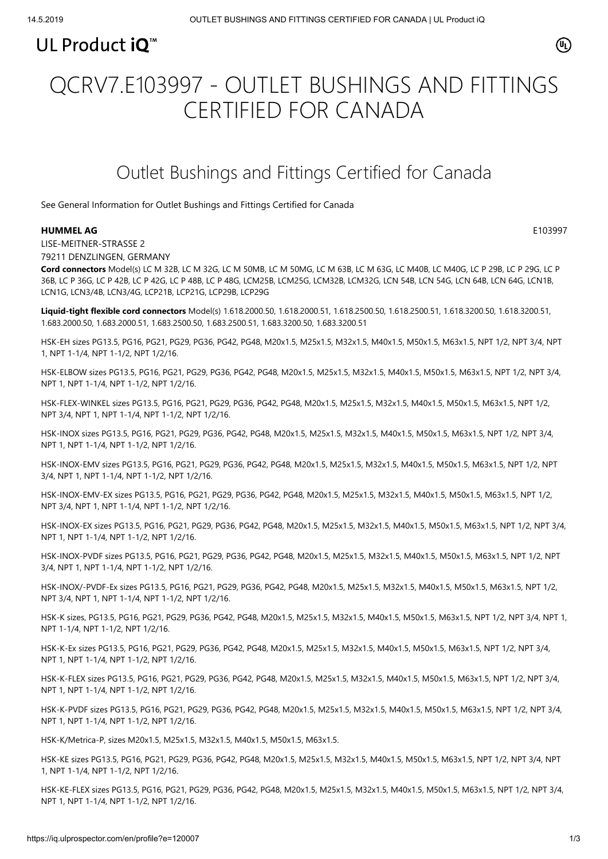### UL Product iQ<sup>™</sup>

# QCRV7.E103997 - OUTLET BUSHINGS AND FITTINGS CERTIFIED FOR CANADA

## Outlet Bushings and Fittings Certified for Canada

[See General Information for Outlet Bushings and Fittings Certified for Canada](https://iq.ulprospector.com/cgi-bin/XYV/template/LISEXT/1FRAME/showpage.html?&name=QCRV7.GuideInfo&ccnshorttitle=Outlet+Bushings+and+Fittings+Certified+for+Canada&objid=1074196391&cfgid=1073741824&version=versionless&parent_id=1073991701&sequence=1)

### **HUMMEL AG** E103997

⋒

LISE-MEITNER-STRASSE 2 79211 DENZLINGEN, GERMANY

**Cord connectors** Model(s) LC M 32B, LC M 32G, LC M 50MB, LC M 50MG, LC M 63B, LC M 63G, LC M40B, LC M40G, LC P 29B, LC P 29G, LC P 36B, LC P 36G, LC P 42B, LC P 42G, LC P 48B, LC P 48G, LCM25B, LCM25G, LCM32B, LCM32G, LCN 54B, LCN 54G, LCN 64B, LCN 64G, LCN1B, LCN1G, LCN3/4B, LCN3/4G, LCP21B, LCP21G, LCP29B, LCP29G

**Liquid-tight flexible cord connectors** Model(s) 1.618.2000.50, 1.618.2000.51, 1.618.2500.50, 1.618.2500.51, 1.618.3200.50, 1.618.3200.51, 1.683.2000.50, 1.683.2000.51, 1.683.2500.50, 1.683.2500.51, 1.683.3200.50, 1.683.3200.51

HSK-EH sizes PG13.5, PG16, PG21, PG29, PG36, PG42, PG48, M20x1.5, M25x1.5, M32x1.5, M40x1.5, M50x1.5, M63x1.5, NPT 1/2, NPT 3/4, NPT 1, NPT 1-1/4, NPT 1-1/2, NPT 1/2/16.

HSK-ELBOW sizes PG13.5, PG16, PG21, PG29, PG36, PG42, PG48, M20x1.5, M25x1.5, M32x1.5, M40x1.5, M50x1.5, M63x1.5, NPT 1/2, NPT 3/4, NPT 1, NPT 1-1/4, NPT 1-1/2, NPT 1/2/16.

HSK-FLEX-WINKEL sizes PG13.5, PG16, PG21, PG29, PG36, PG42, PG48, M20x1.5, M25x1.5, M32x1.5, M40x1.5, M50x1.5, M63x1.5, NPT 1/2, NPT 3/4, NPT 1, NPT 1-1/4, NPT 1-1/2, NPT 1/2/16.

HSK-INOX sizes PG13.5, PG16, PG21, PG29, PG36, PG42, PG48, M20x1.5, M25x1.5, M32x1.5, M40x1.5, M50x1.5, M63x1.5, NPT 1/2, NPT 3/4, NPT 1, NPT 1-1/4, NPT 1-1/2, NPT 1/2/16.

HSK-INOX-EMV sizes PG13.5, PG16, PG21, PG29, PG36, PG42, PG48, M20x1.5, M25x1.5, M32x1.5, M40x1.5, M50x1.5, M63x1.5, NPT 1/2, NPT 3/4, NPT 1, NPT 1-1/4, NPT 1-1/2, NPT 1/2/16.

HSK-INOX-EMV-EX sizes PG13.5, PG16, PG21, PG29, PG36, PG42, PG48, M20x1.5, M25x1.5, M32x1.5, M40x1.5, M50x1.5, M63x1.5, NPT 1/2, NPT 3/4, NPT 1, NPT 1-1/4, NPT 1-1/2, NPT 1/2/16.

HSK-INOX-EX sizes PG13.5, PG16, PG21, PG29, PG36, PG42, PG48, M20x1.5, M25x1.5, M32x1.5, M40x1.5, M50x1.5, M63x1.5, NPT 1/2, NPT 3/4, NPT 1, NPT 1-1/4, NPT 1-1/2, NPT 1/2/16.

HSK-INOX-PVDF sizes PG13.5, PG16, PG21, PG29, PG36, PG42, PG48, M20x1.5, M25x1.5, M32x1.5, M40x1.5, M50x1.5, M63x1.5, NPT 1/2, NPT 3/4, NPT 1, NPT 1-1/4, NPT 1-1/2, NPT 1/2/16.

HSK-INOX/-PVDF-Ex sizes PG13.5, PG16, PG21, PG29, PG36, PG42, PG48, M20x1.5, M25x1.5, M32x1.5, M40x1.5, M50x1.5, M63x1.5, NPT 1/2, NPT 3/4, NPT 1, NPT 1-1/4, NPT 1-1/2, NPT 1/2/16.

HSK-K sizes, PG13.5, PG16, PG21, PG29, PG36, PG42, PG48, M20x1.5, M25x1.5, M32x1.5, M40x1.5, M50x1.5, M63x1.5, NPT 1/2, NPT 3/4, NPT 1, NPT 1-1/4, NPT 1-1/2, NPT 1/2/16.

HSK-K-Ex sizes PG13.5, PG16, PG21, PG29, PG36, PG42, PG48, M20x1.5, M25x1.5, M32x1.5, M40x1.5, M50x1.5, M63x1.5, NPT 1/2, NPT 3/4, NPT 1, NPT 1-1/4, NPT 1-1/2, NPT 1/2/16.

HSK-K-FLEX sizes PG13.5, PG16, PG21, PG29, PG36, PG42, PG48, M20x1.5, M25x1.5, M32x1.5, M40x1.5, M50x1.5, M63x1.5, NPT 1/2, NPT 3/4, NPT 1, NPT 1-1/4, NPT 1-1/2, NPT 1/2/16.

HSK-K-PVDF sizes PG13.5, PG16, PG21, PG29, PG36, PG42, PG48, M20x1.5, M25x1.5, M32x1.5, M40x1.5, M50x1.5, M63x1.5, NPT 1/2, NPT 3/4, NPT 1, NPT 1-1/4, NPT 1-1/2, NPT 1/2/16.

HSK-K/Metrica-P, sizes M20x1.5, M25x1.5, M32x1.5, M40x1.5, M50x1.5, M63x1.5.

HSK-KE sizes PG13.5, PG16, PG21, PG29, PG36, PG42, PG48, M20x1.5, M25x1.5, M32x1.5, M40x1.5, M50x1.5, M63x1.5, NPT 1/2, NPT 3/4, NPT 1, NPT 1-1/4, NPT 1-1/2, NPT 1/2/16.

HSK-KE-FLEX sizes PG13.5, PG16, PG21, PG29, PG36, PG42, PG48, M20x1.5, M25x1.5, M32x1.5, M40x1.5, M50x1.5, M63x1.5, NPT 1/2, NPT 3/4, NPT 1, NPT 1-1/4, NPT 1-1/2, NPT 1/2/16.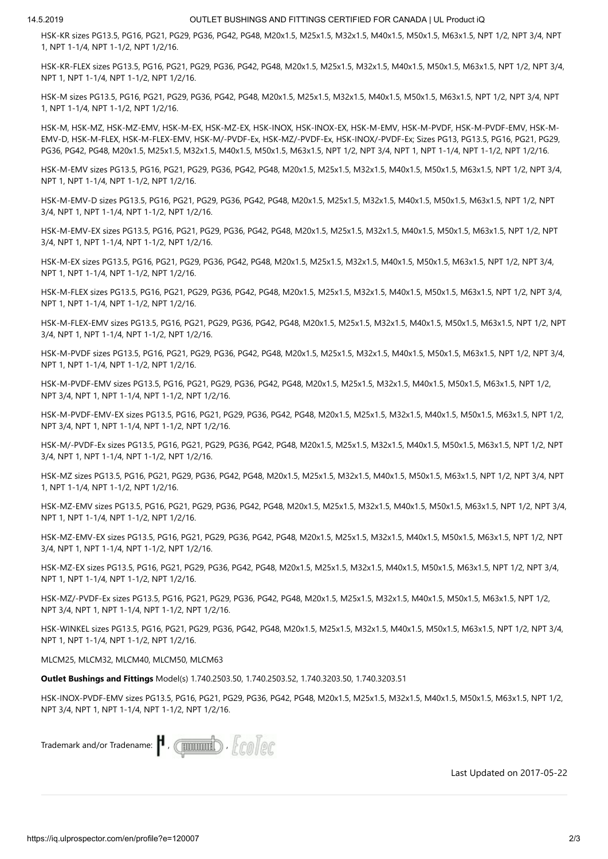HSK-KR sizes PG13.5, PG16, PG21, PG29, PG36, PG42, PG48, M20x1.5, M25x1.5, M32x1.5, M40x1.5, M50x1.5, M63x1.5, NPT 1/2, NPT 3/4, NPT 1, NPT 1-1/4, NPT 1-1/2, NPT 1/2/16.

HSK-KR-FLEX sizes PG13.5, PG16, PG21, PG29, PG36, PG42, PG48, M20x1.5, M25x1.5, M32x1.5, M40x1.5, M50x1.5, M63x1.5, NPT 1/2, NPT 3/4, NPT 1, NPT 1-1/4, NPT 1-1/2, NPT 1/2/16.

HSK-M sizes PG13.5, PG16, PG21, PG29, PG36, PG42, PG48, M20x1.5, M25x1.5, M32x1.5, M40x1.5, M50x1.5, M63x1.5, NPT 1/2, NPT 3/4, NPT 1, NPT 1-1/4, NPT 1-1/2, NPT 1/2/16.

HSK-M, HSK-MZ, HSK-MZ-EMV, HSK-M-EX, HSK-MZ-EX, HSK-INOX, HSK-INOX-EX, HSK-M-EMV, HSK-M-PVDF, HSK-M-PVDF-EMV, HSK-M-EMV-D, HSK-M-FLEX, HSK-M-FLEX-EMV, HSK-M/-PVDF-Ex, HSK-MZ/-PVDF-Ex, HSK-INOX/-PVDF-Ex; Sizes PG13, PG13.5, PG16, PG21, PG29, PG36, PG42, PG48, M20x1.5, M25x1.5, M32x1.5, M40x1.5, M50x1.5, M63x1.5, NPT 1/2, NPT 3/4, NPT 1, NPT 1-1/4, NPT 1-1/2, NPT 1/2/16.

HSK-M-EMV sizes PG13.5, PG16, PG21, PG29, PG36, PG42, PG48, M20x1.5, M25x1.5, M32x1.5, M40x1.5, M50x1.5, M63x1.5, NPT 1/2, NPT 3/4, NPT 1, NPT 1-1/4, NPT 1-1/2, NPT 1/2/16.

HSK-M-EMV-D sizes PG13.5, PG16, PG21, PG29, PG36, PG42, PG48, M20x1.5, M25x1.5, M32x1.5, M40x1.5, M50x1.5, M63x1.5, NPT 1/2, NPT 3/4, NPT 1, NPT 1-1/4, NPT 1-1/2, NPT 1/2/16.

HSK-M-EMV-EX sizes PG13.5, PG16, PG21, PG29, PG36, PG42, PG48, M20x1.5, M25x1.5, M32x1.5, M40x1.5, M50x1.5, M63x1.5, NPT 1/2, NPT 3/4, NPT 1, NPT 1-1/4, NPT 1-1/2, NPT 1/2/16.

HSK-M-EX sizes PG13.5, PG16, PG21, PG29, PG36, PG42, PG48, M20x1.5, M25x1.5, M32x1.5, M40x1.5, M50x1.5, M63x1.5, NPT 1/2, NPT 3/4, NPT 1, NPT 1-1/4, NPT 1-1/2, NPT 1/2/16.

HSK-M-FLEX sizes PG13.5, PG16, PG21, PG29, PG36, PG42, PG48, M20x1.5, M25x1.5, M32x1.5, M40x1.5, M50x1.5, M63x1.5, NPT 1/2, NPT 3/4, NPT 1, NPT 1-1/4, NPT 1-1/2, NPT 1/2/16.

HSK-M-FLEX-EMV sizes PG13.5, PG16, PG21, PG29, PG36, PG42, PG48, M20x1.5, M25x1.5, M32x1.5, M40x1.5, M50x1.5, M63x1.5, NPT 1/2, NPT 3/4, NPT 1, NPT 1-1/4, NPT 1-1/2, NPT 1/2/16.

HSK-M-PVDF sizes PG13.5, PG16, PG21, PG29, PG36, PG42, PG48, M20x1.5, M25x1.5, M32x1.5, M40x1.5, M50x1.5, M63x1.5, NPT 1/2, NPT 3/4, NPT 1, NPT 1-1/4, NPT 1-1/2, NPT 1/2/16.

HSK-M-PVDF-EMV sizes PG13.5, PG16, PG21, PG29, PG36, PG42, PG48, M20x1.5, M25x1.5, M32x1.5, M40x1.5, M50x1.5, M63x1.5, NPT 1/2, NPT 3/4, NPT 1, NPT 1-1/4, NPT 1-1/2, NPT 1/2/16.

HSK-M-PVDF-EMV-EX sizes PG13.5, PG16, PG21, PG29, PG36, PG42, PG48, M20x1.5, M25x1.5, M32x1.5, M40x1.5, M50x1.5, M63x1.5, NPT 1/2, NPT 3/4, NPT 1, NPT 1-1/4, NPT 1-1/2, NPT 1/2/16.

HSK-M/-PVDF-Ex sizes PG13.5, PG16, PG21, PG29, PG36, PG42, PG48, M20x1.5, M25x1.5, M32x1.5, M40x1.5, M50x1.5, M63x1.5, NPT 1/2, NPT 3/4, NPT 1, NPT 1-1/4, NPT 1-1/2, NPT 1/2/16.

HSK-MZ sizes PG13.5, PG16, PG21, PG29, PG36, PG42, PG48, M20x1.5, M25x1.5, M32x1.5, M40x1.5, M50x1.5, M63x1.5, NPT 1/2, NPT 3/4, NPT 1, NPT 1-1/4, NPT 1-1/2, NPT 1/2/16.

HSK-MZ-EMV sizes PG13.5, PG16, PG21, PG29, PG36, PG42, PG48, M20x1.5, M25x1.5, M32x1.5, M40x1.5, M50x1.5, M63x1.5, NPT 1/2, NPT 3/4, NPT 1, NPT 1-1/4, NPT 1-1/2, NPT 1/2/16.

HSK-MZ-EMV-EX sizes PG13.5, PG16, PG21, PG29, PG36, PG42, PG48, M20x1.5, M25x1.5, M32x1.5, M40x1.5, M50x1.5, M63x1.5, NPT 1/2, NPT 3/4, NPT 1, NPT 1-1/4, NPT 1-1/2, NPT 1/2/16.

HSK-MZ-EX sizes PG13.5, PG16, PG21, PG29, PG36, PG42, PG48, M20x1.5, M25x1.5, M32x1.5, M40x1.5, M50x1.5, M63x1.5, NPT 1/2, NPT 3/4, NPT 1, NPT 1-1/4, NPT 1-1/2, NPT 1/2/16.

HSK-MZ/-PVDF-Ex sizes PG13.5, PG16, PG21, PG29, PG36, PG42, PG48, M20x1.5, M25x1.5, M32x1.5, M40x1.5, M50x1.5, M63x1.5, NPT 1/2, NPT 3/4, NPT 1, NPT 1-1/4, NPT 1-1/2, NPT 1/2/16.

HSK-WINKEL sizes PG13.5, PG16, PG21, PG29, PG36, PG42, PG48, M20x1.5, M25x1.5, M32x1.5, M40x1.5, M50x1.5, M63x1.5, NPT 1/2, NPT 3/4, NPT 1, NPT 1-1/4, NPT 1-1/2, NPT 1/2/16.

MLCM25, MLCM32, MLCM40, MLCM50, MLCM63

**Outlet Bushings and Fittings** Model(s) 1.740.2503.50, 1.740.2503.52, 1.740.3203.50, 1.740.3203.51

HSK-INOX-PVDF-EMV sizes PG13.5, PG16, PG21, PG29, PG36, PG42, PG48, M20x1.5, M25x1.5, M32x1.5, M40x1.5, M50x1.5, M63x1.5, NPT 1/2, NPT 3/4, NPT 1, NPT 1-1/4, NPT 1-1/2, NPT 1/2/16.

Trademark and/or Tradename:  $\blacksquare$  ( $\blacksquare$ )  $\mathcal{L}$  ( $\mathcal{L}$ )  $\mathcal{L}$ 

[Last Updated](javascript:openit() on 2017-05-22